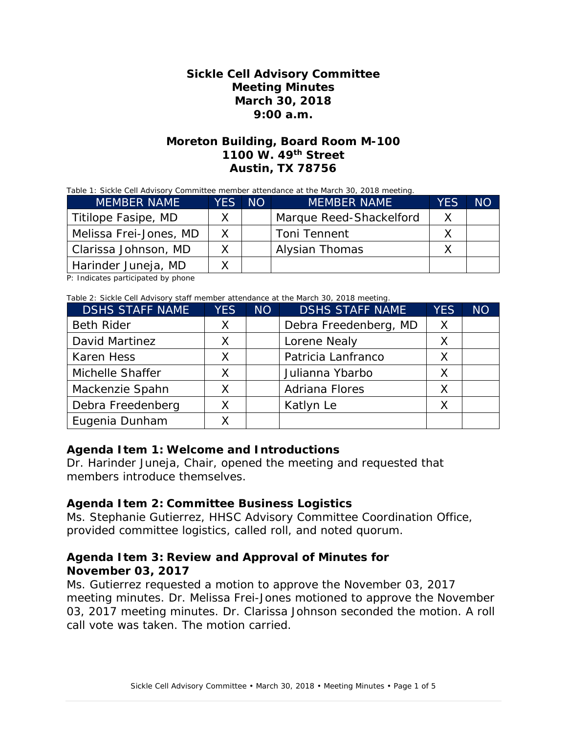### **Sickle Cell Advisory Committee Meeting Minutes March 30, 2018 9:00 a.m.**

### **Moreton Building, Board Room M-100 1100 W. 49th Street Austin, TX 78756**

Table 1: Sickle Cell Advisory Committee member attendance at the March 30, 2018 meeting.

| <b>MEMBER NAME</b>     | YES NO | <b>MEMBER NAME</b>      | YES | NΟ |
|------------------------|--------|-------------------------|-----|----|
| Titilope Fasipe, MD    |        | Marque Reed-Shackelford | Χ   |    |
| Melissa Frei-Jones, MD | X.     | <b>Toni Tennent</b>     |     |    |
| Clarissa Johnson, MD   | Y.     | Alysian Thomas          |     |    |
| Harinder Juneja, MD    |        |                         |     |    |

P: Indicates participated by phone

Table 2: Sickle Cell Advisory staff member attendance at the March 30, 2018 meeting.

| <b>DSHS STAFF NAME</b> | <b>YES</b> | <b>NO</b> | <b>DSHS STAFF NAME</b> | <b>YES</b> | <b>NO</b> |
|------------------------|------------|-----------|------------------------|------------|-----------|
| <b>Beth Rider</b>      | X          |           | Debra Freedenberg, MD  | X          |           |
| David Martinez         |            |           | Lorene Nealy           |            |           |
| <b>Karen Hess</b>      |            |           | Patricia Lanfranco     |            |           |
| Michelle Shaffer       | Χ          |           | Julianna Ybarbo        |            |           |
| Mackenzie Spahn        |            |           | <b>Adriana Flores</b>  |            |           |
| Debra Freedenberg      |            |           | Katlyn Le              |            |           |
| Eugenia Dunham         |            |           |                        |            |           |

### **Agenda Item 1: Welcome and Introductions**

Dr. Harinder Juneja, Chair, opened the meeting and requested that members introduce themselves.

#### **Agenda Item 2: Committee Business Logistics**

Ms. Stephanie Gutierrez, HHSC Advisory Committee Coordination Office, provided committee logistics, called roll, and noted quorum.

### **Agenda Item 3: Review and Approval of Minutes for November 03, 2017**

Ms. Gutierrez requested a motion to approve the November 03, 2017 meeting minutes. Dr. Melissa Frei-Jones motioned to approve the November 03, 2017 meeting minutes. Dr. Clarissa Johnson seconded the motion. A roll call vote was taken. The motion carried.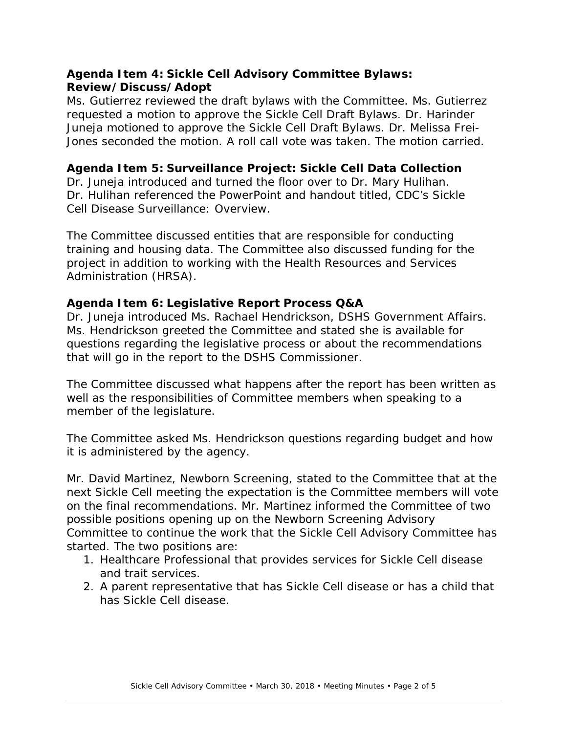# **Agenda Item 4: Sickle Cell Advisory Committee Bylaws: Review/Discuss/Adopt**

Ms. Gutierrez reviewed the draft bylaws with the Committee. Ms. Gutierrez requested a motion to approve the Sickle Cell Draft Bylaws. Dr. Harinder Juneja motioned to approve the Sickle Cell Draft Bylaws. Dr. Melissa Frei-Jones seconded the motion. A roll call vote was taken. The motion carried.

### **Agenda Item 5: Surveillance Project: Sickle Cell Data Collection**

Dr. Juneja introduced and turned the floor over to Dr. Mary Hulihan. Dr. Hulihan referenced the PowerPoint and handout titled, *CDC's Sickle Cell Disease Surveillance: Overview*.

The Committee discussed entities that are responsible for conducting training and housing data. The Committee also discussed funding for the project in addition to working with the Health Resources and Services Administration (HRSA).

### **Agenda Item 6: Legislative Report Process Q&A**

Dr. Juneja introduced Ms. Rachael Hendrickson, DSHS Government Affairs. Ms. Hendrickson greeted the Committee and stated she is available for questions regarding the legislative process or about the recommendations that will go in the report to the DSHS Commissioner.

The Committee discussed what happens after the report has been written as well as the responsibilities of Committee members when speaking to a member of the legislature.

The Committee asked Ms. Hendrickson questions regarding budget and how it is administered by the agency.

Mr. David Martinez, Newborn Screening, stated to the Committee that at the next Sickle Cell meeting the expectation is the Committee members will vote on the final recommendations. Mr. Martinez informed the Committee of two possible positions opening up on the Newborn Screening Advisory Committee to continue the work that the Sickle Cell Advisory Committee has started. The two positions are:

- 1. Healthcare Professional that provides services for Sickle Cell disease and trait services.
- 2. A parent representative that has Sickle Cell disease or has a child that has Sickle Cell disease.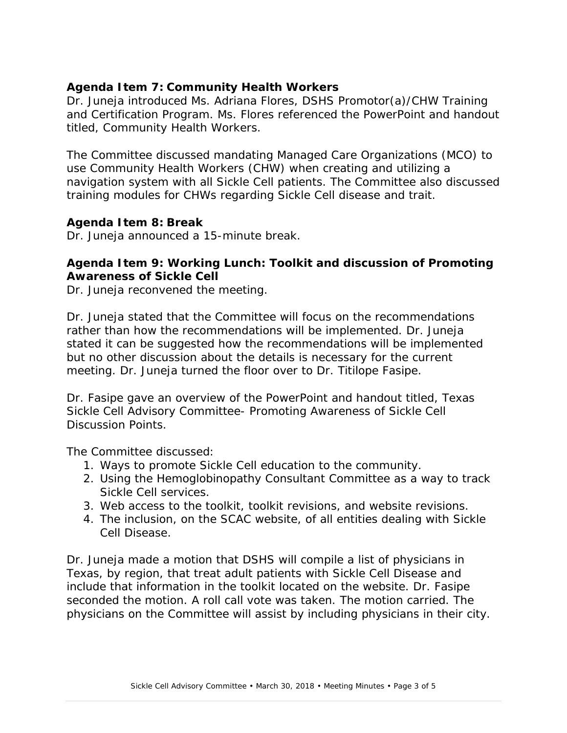# **Agenda Item 7: Community Health Workers**

Dr. Juneja introduced Ms. Adriana Flores, DSHS Promotor(a)/CHW Training and Certification Program. Ms. Flores referenced the PowerPoint and handout titled, *Community Health Workers*.

The Committee discussed mandating Managed Care Organizations (MCO) to use Community Health Workers (CHW) when creating and utilizing a navigation system with all Sickle Cell patients. The Committee also discussed training modules for CHWs regarding Sickle Cell disease and trait.

### **Agenda Item 8: Break**

Dr. Juneja announced a 15-minute break.

# **Agenda Item 9: Working Lunch: Toolkit and discussion of Promoting Awareness of Sickle Cell**

Dr. Juneja reconvened the meeting.

Dr. Juneja stated that the Committee will focus on the recommendations rather than how the recommendations will be implemented. Dr. Juneja stated it can be suggested how the recommendations will be implemented but no other discussion about the details is necessary for the current meeting. Dr. Juneja turned the floor over to Dr. Titilope Fasipe.

Dr. Fasipe gave an overview of the PowerPoint and handout titled, *Texas Sickle Cell Advisory Committee- Promoting Awareness of Sickle Cell Discussion Points*.

The Committee discussed:

- 1. Ways to promote Sickle Cell education to the community.
- 2. Using the Hemoglobinopathy Consultant Committee as a way to track Sickle Cell services.
- 3. Web access to the toolkit, toolkit revisions, and website revisions.
- 4. The inclusion, on the SCAC website, of all entities dealing with Sickle Cell Disease.

Dr. Juneja made a motion that DSHS will compile a list of physicians in Texas, by region, that treat adult patients with Sickle Cell Disease and include that information in the toolkit located on the website. Dr. Fasipe seconded the motion. A roll call vote was taken. The motion carried. The physicians on the Committee will assist by including physicians in their city.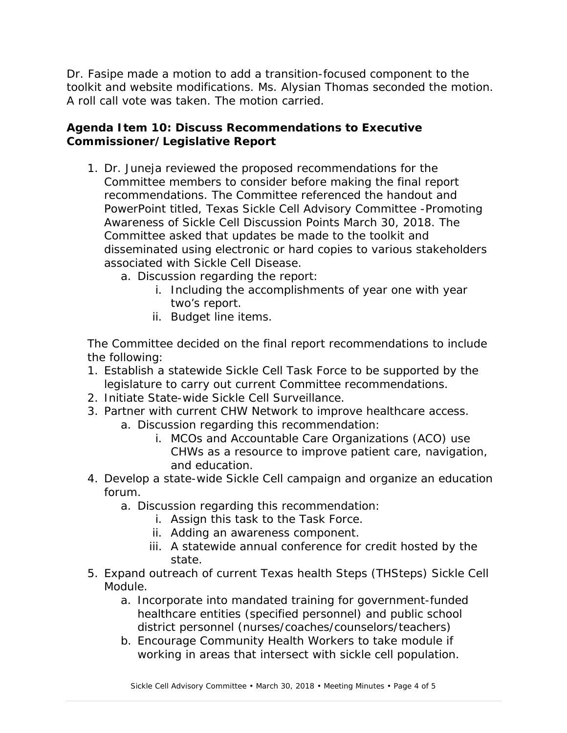Dr. Fasipe made a motion to add a transition-focused component to the toolkit and website modifications. Ms. Alysian Thomas seconded the motion. A roll call vote was taken. The motion carried.

### **Agenda Item 10: Discuss Recommendations to Executive Commissioner/Legislative Report**

- 1. Dr. Juneja reviewed the proposed recommendations for the Committee members to consider before making the final report recommendations. The Committee referenced the handout and PowerPoint titled, *Texas Sickle Cell Advisory Committee -Promoting Awareness of Sickle Cell Discussion Points March 30, 2018.* The Committee asked that updates be made to the toolkit and disseminated using electronic or hard copies to various stakeholders associated with Sickle Cell Disease.
	- a. Discussion regarding the report:
		- i. Including the accomplishments of year one with year two's report.
		- ii. Budget line items.

The Committee decided on the final report recommendations to include the following:

- 1. Establish a statewide Sickle Cell Task Force to be supported by the legislature to carry out current Committee recommendations.
- 2. Initiate State-wide Sickle Cell Surveillance.
- 3. Partner with current CHW Network to improve healthcare access.
	- a. Discussion regarding this recommendation:
		- i. MCOs and Accountable Care Organizations (ACO) use CHWs as a resource to improve patient care, navigation, and education.
- 4. Develop a state-wide Sickle Cell campaign and organize an education forum.
	- a. Discussion regarding this recommendation:
		- i. Assign this task to the Task Force.
		- ii. Adding an awareness component.
		- iii. A statewide annual conference for credit hosted by the state.
- 5. Expand outreach of current Texas health Steps (THSteps) Sickle Cell Module.
	- a. Incorporate into mandated training for government-funded healthcare entities (specified personnel) and public school district personnel (nurses/coaches/counselors/teachers)
	- b. Encourage Community Health Workers to take module if working in areas that intersect with sickle cell population.